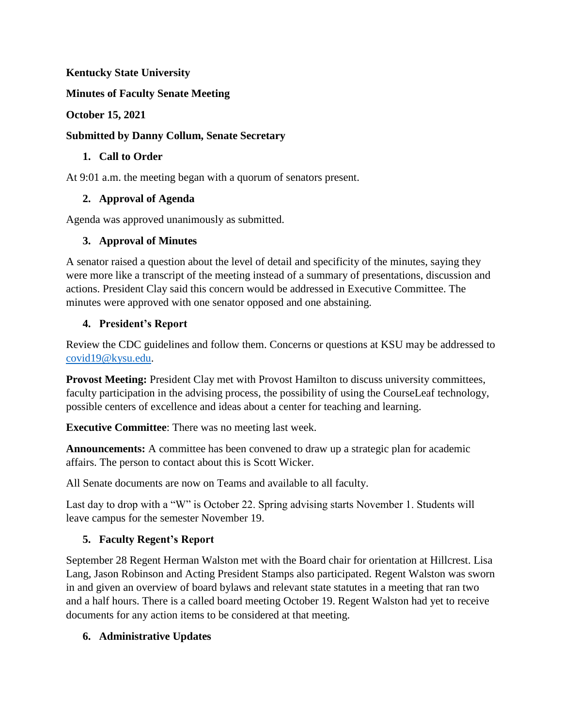## **Kentucky State University**

**Minutes of Faculty Senate Meeting**

## **October 15, 2021**

## **Submitted by Danny Collum, Senate Secretary**

## **1. Call to Order**

At 9:01 a.m. the meeting began with a quorum of senators present.

## **2. Approval of Agenda**

Agenda was approved unanimously as submitted.

## **3. Approval of Minutes**

A senator raised a question about the level of detail and specificity of the minutes, saying they were more like a transcript of the meeting instead of a summary of presentations, discussion and actions. President Clay said this concern would be addressed in Executive Committee. The minutes were approved with one senator opposed and one abstaining.

## **4. President's Report**

Review the CDC guidelines and follow them. Concerns or questions at KSU may be addressed to [covid19@kysu.edu.](mailto:covid19@kysu.edu)

**Provost Meeting:** President Clay met with Provost Hamilton to discuss university committees, faculty participation in the advising process, the possibility of using the CourseLeaf technology, possible centers of excellence and ideas about a center for teaching and learning.

**Executive Committee**: There was no meeting last week.

**Announcements:** A committee has been convened to draw up a strategic plan for academic affairs. The person to contact about this is Scott Wicker.

All Senate documents are now on Teams and available to all faculty.

Last day to drop with a "W" is October 22. Spring advising starts November 1. Students will leave campus for the semester November 19.

## **5. Faculty Regent's Report**

September 28 Regent Herman Walston met with the Board chair for orientation at Hillcrest. Lisa Lang, Jason Robinson and Acting President Stamps also participated. Regent Walston was sworn in and given an overview of board bylaws and relevant state statutes in a meeting that ran two and a half hours. There is a called board meeting October 19. Regent Walston had yet to receive documents for any action items to be considered at that meeting.

## **6. Administrative Updates**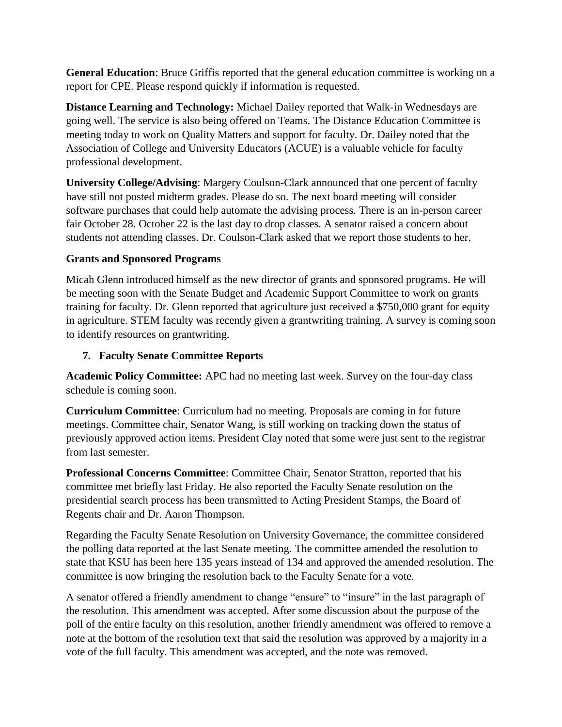**General Education**: Bruce Griffis reported that the general education committee is working on a report for CPE. Please respond quickly if information is requested.

**Distance Learning and Technology:** Michael Dailey reported that Walk-in Wednesdays are going well. The service is also being offered on Teams. The Distance Education Committee is meeting today to work on Quality Matters and support for faculty. Dr. Dailey noted that the Association of College and University Educators (ACUE) is a valuable vehicle for faculty professional development.

**University College/Advising**: Margery Coulson-Clark announced that one percent of faculty have still not posted midterm grades. Please do so. The next board meeting will consider software purchases that could help automate the advising process. There is an in-person career fair October 28. October 22 is the last day to drop classes. A senator raised a concern about students not attending classes. Dr. Coulson-Clark asked that we report those students to her.

## **Grants and Sponsored Programs**

Micah Glenn introduced himself as the new director of grants and sponsored programs. He will be meeting soon with the Senate Budget and Academic Support Committee to work on grants training for faculty. Dr. Glenn reported that agriculture just received a \$750,000 grant for equity in agriculture. STEM faculty was recently given a grantwriting training. A survey is coming soon to identify resources on grantwriting.

## **7. Faculty Senate Committee Reports**

**Academic Policy Committee:** APC had no meeting last week. Survey on the four-day class schedule is coming soon.

**Curriculum Committee**: Curriculum had no meeting. Proposals are coming in for future meetings. Committee chair, Senator Wang, is still working on tracking down the status of previously approved action items. President Clay noted that some were just sent to the registrar from last semester.

**Professional Concerns Committee**: Committee Chair, Senator Stratton, reported that his committee met briefly last Friday. He also reported the Faculty Senate resolution on the presidential search process has been transmitted to Acting President Stamps, the Board of Regents chair and Dr. Aaron Thompson.

Regarding the Faculty Senate Resolution on University Governance, the committee considered the polling data reported at the last Senate meeting. The committee amended the resolution to state that KSU has been here 135 years instead of 134 and approved the amended resolution. The committee is now bringing the resolution back to the Faculty Senate for a vote.

A senator offered a friendly amendment to change "ensure" to "insure" in the last paragraph of the resolution. This amendment was accepted. After some discussion about the purpose of the poll of the entire faculty on this resolution, another friendly amendment was offered to remove a note at the bottom of the resolution text that said the resolution was approved by a majority in a vote of the full faculty. This amendment was accepted, and the note was removed.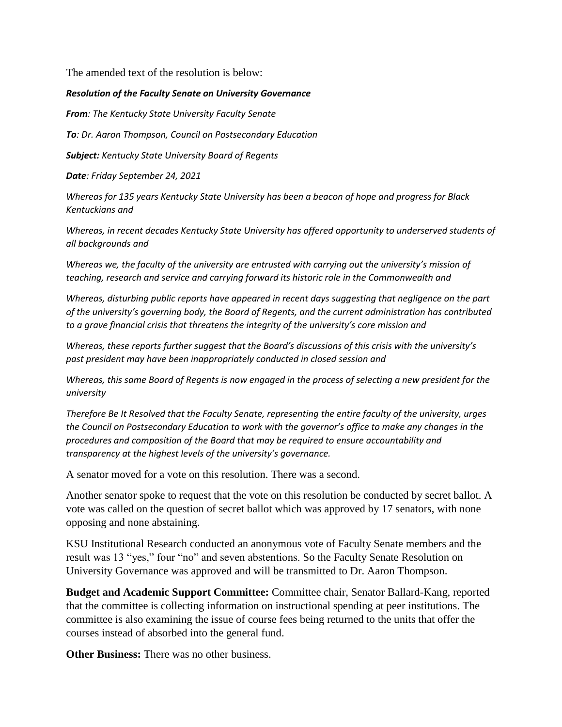The amended text of the resolution is below:

#### *Resolution of the Faculty Senate on University Governance*

*From: The Kentucky State University Faculty Senate*

*To: Dr. Aaron Thompson, Council on Postsecondary Education*

*Subject: Kentucky State University Board of Regents*

*Date: Friday September 24, 2021*

*Whereas for 135 years Kentucky State University has been a beacon of hope and progress for Black Kentuckians and*

*Whereas, in recent decades Kentucky State University has offered opportunity to underserved students of all backgrounds and*

*Whereas we, the faculty of the university are entrusted with carrying out the university's mission of teaching, research and service and carrying forward its historic role in the Commonwealth and*

*Whereas, disturbing public reports have appeared in recent days suggesting that negligence on the part of the university's governing body, the Board of Regents, and the current administration has contributed to a grave financial crisis that threatens the integrity of the university's core mission and*

*Whereas, these reports further suggest that the Board's discussions of this crisis with the university's past president may have been inappropriately conducted in closed session and*

*Whereas, this same Board of Regents is now engaged in the process of selecting a new president for the university*

*Therefore Be It Resolved that the Faculty Senate, representing the entire faculty of the university, urges the Council on Postsecondary Education to work with the governor's office to make any changes in the procedures and composition of the Board that may be required to ensure accountability and transparency at the highest levels of the university's governance.*

A senator moved for a vote on this resolution. There was a second.

Another senator spoke to request that the vote on this resolution be conducted by secret ballot. A vote was called on the question of secret ballot which was approved by 17 senators, with none opposing and none abstaining.

KSU Institutional Research conducted an anonymous vote of Faculty Senate members and the result was 13 "yes," four "no" and seven abstentions. So the Faculty Senate Resolution on University Governance was approved and will be transmitted to Dr. Aaron Thompson.

**Budget and Academic Support Committee:** Committee chair, Senator Ballard-Kang, reported that the committee is collecting information on instructional spending at peer institutions. The committee is also examining the issue of course fees being returned to the units that offer the courses instead of absorbed into the general fund.

**Other Business:** There was no other business.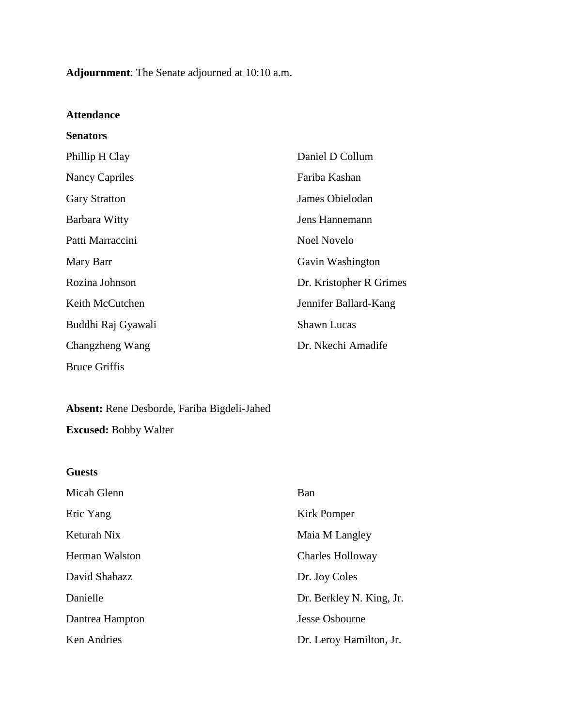**Adjournment**: The Senate adjourned at 10:10 a.m.

### **Attendance**

| <b>Senators</b>       |                         |
|-----------------------|-------------------------|
| Phillip H Clay        | Daniel D Collum         |
| <b>Nancy Capriles</b> | Fariba Kashan           |
| <b>Gary Stratton</b>  | James Obielodan         |
| Barbara Witty         | Jens Hannemann          |
| Patti Marraccini      | <b>Noel Novelo</b>      |
| Mary Barr             | Gavin Washington        |
| Rozina Johnson        | Dr. Kristopher R Grimes |
| Keith McCutchen       | Jennifer Ballard-Kang   |
| Buddhi Raj Gyawali    | <b>Shawn Lucas</b>      |
| Changzheng Wang       | Dr. Nkechi Amadife      |
| <b>Bruce Griffis</b>  |                         |
|                       |                         |

# **Absent:** Rene Desborde, Fariba Bigdeli-Jahed

**Excused:** Bobby Walter

| <b>Guests</b>   |                          |
|-----------------|--------------------------|
| Micah Glenn     | Ban                      |
| Eric Yang       | Kirk Pomper              |
| Keturah Nix     | Maia M Langley           |
| Herman Walston  | <b>Charles Holloway</b>  |
| David Shabazz   | Dr. Joy Coles            |
| Danielle        | Dr. Berkley N. King, Jr. |
| Dantrea Hampton | Jesse Osbourne           |
| Ken Andries     | Dr. Leroy Hamilton, Jr.  |